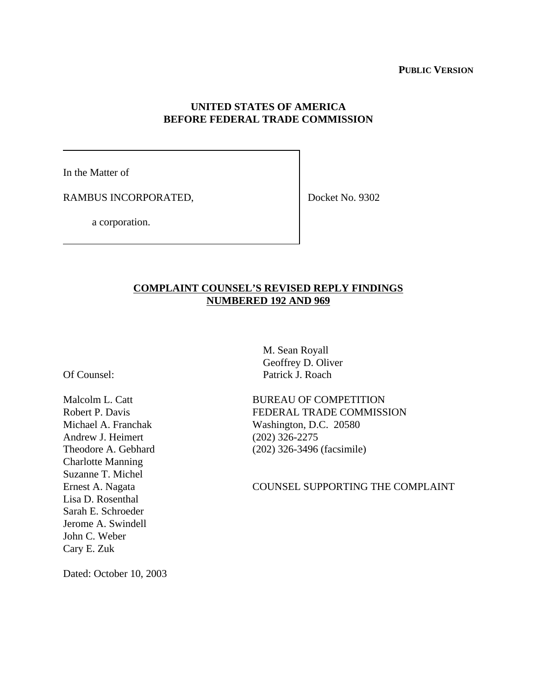## **UNITED STATES OF AMERICA BEFORE FEDERAL TRADE COMMISSION**

In the Matter of

RAMBUS INCORPORATED,

Docket No. 9302

a corporation.

## **COMPLAINT COUNSEL'S REVISED REPLY FINDINGS NUMBERED 192 AND 969**

Of Counsel:

Malcolm L. Catt Robert P. Davis Michael A. Franchak Andrew J. Heimert Theodore A. Gebhard Charlotte Manning Suzanne T. Michel Ernest A. Nagata Lisa D. Rosenthal Sarah E. Schroeder Jerome A. Swindell John C. Weber Cary E. Zuk

 M. Sean Royall Geoffrey D. Oliver Patrick J. Roach

BUREAU OF COMPETITION FEDERAL TRADE COMMISSION Washington, D.C. 20580 (202) 326-2275 (202) 326-3496 (facsimile)

COUNSEL SUPPORTING THE COMPLAINT

Dated: October 10, 2003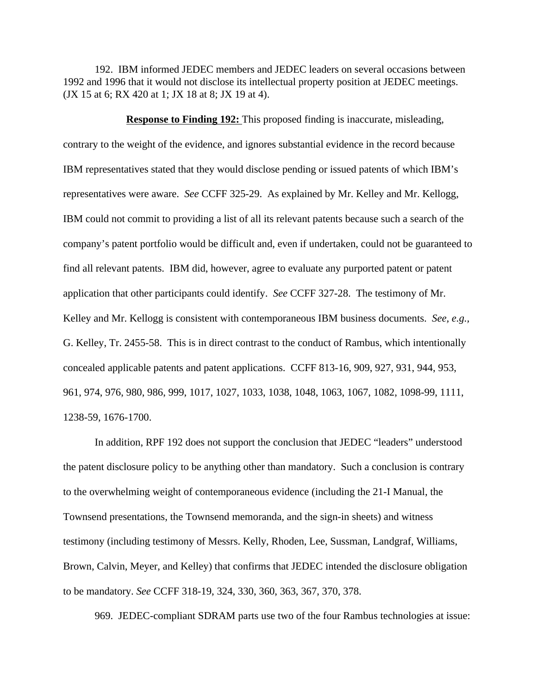192. IBM informed JEDEC members and JEDEC leaders on several occasions between 1992 and 1996 that it would not disclose its intellectual property position at JEDEC meetings. (JX 15 at 6; RX 420 at 1; JX 18 at 8; JX 19 at 4).

## **Response to Finding 192:** This proposed finding is inaccurate, misleading,

contrary to the weight of the evidence, and ignores substantial evidence in the record because IBM representatives stated that they would disclose pending or issued patents of which IBM's representatives were aware. *See* CCFF 325-29. As explained by Mr. Kelley and Mr. Kellogg, IBM could not commit to providing a list of all its relevant patents because such a search of the company's patent portfolio would be difficult and, even if undertaken, could not be guaranteed to find all relevant patents. IBM did, however, agree to evaluate any purported patent or patent application that other participants could identify. *See* CCFF 327-28. The testimony of Mr. Kelley and Mr. Kellogg is consistent with contemporaneous IBM business documents. *See, e.g.,* G. Kelley, Tr. 2455-58. This is in direct contrast to the conduct of Rambus, which intentionally concealed applicable patents and patent applications. CCFF 813-16, 909, 927, 931, 944, 953, 961, 974, 976, 980, 986, 999, 1017, 1027, 1033, 1038, 1048, 1063, 1067, 1082, 1098-99, 1111, 1238-59, 1676-1700.

In addition, RPF 192 does not support the conclusion that JEDEC "leaders" understood the patent disclosure policy to be anything other than mandatory. Such a conclusion is contrary to the overwhelming weight of contemporaneous evidence (including the 21-I Manual, the Townsend presentations, the Townsend memoranda, and the sign-in sheets) and witness testimony (including testimony of Messrs. Kelly, Rhoden, Lee, Sussman, Landgraf, Williams, Brown, Calvin, Meyer, and Kelley) that confirms that JEDEC intended the disclosure obligation to be mandatory. *See* CCFF 318-19, 324, 330, 360, 363, 367, 370, 378.

969. JEDEC-compliant SDRAM parts use two of the four Rambus technologies at issue: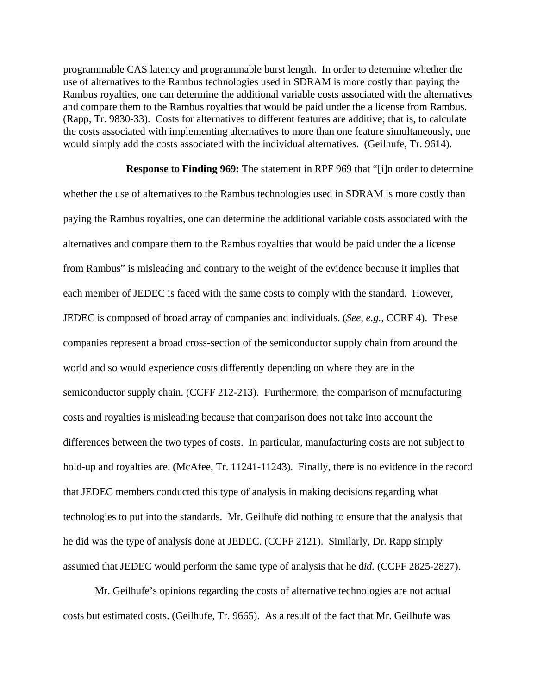programmable CAS latency and programmable burst length. In order to determine whether the use of alternatives to the Rambus technologies used in SDRAM is more costly than paying the Rambus royalties, one can determine the additional variable costs associated with the alternatives and compare them to the Rambus royalties that would be paid under the a license from Rambus. (Rapp, Tr. 9830-33). Costs for alternatives to different features are additive; that is, to calculate the costs associated with implementing alternatives to more than one feature simultaneously, one would simply add the costs associated with the individual alternatives. (Geilhufe, Tr. 9614).

**Response to Finding 969:** The statement in RPF 969 that "[i]n order to determine whether the use of alternatives to the Rambus technologies used in SDRAM is more costly than paying the Rambus royalties, one can determine the additional variable costs associated with the alternatives and compare them to the Rambus royalties that would be paid under the a license from Rambus" is misleading and contrary to the weight of the evidence because it implies that each member of JEDEC is faced with the same costs to comply with the standard. However, JEDEC is composed of broad array of companies and individuals. (*See, e.g.,* CCRF 4). These companies represent a broad cross-section of the semiconductor supply chain from around the world and so would experience costs differently depending on where they are in the semiconductor supply chain. (CCFF 212-213). Furthermore, the comparison of manufacturing costs and royalties is misleading because that comparison does not take into account the differences between the two types of costs. In particular, manufacturing costs are not subject to hold-up and royalties are. (McAfee, Tr. 11241-11243). Finally, there is no evidence in the record that JEDEC members conducted this type of analysis in making decisions regarding what technologies to put into the standards. Mr. Geilhufe did nothing to ensure that the analysis that he did was the type of analysis done at JEDEC. (CCFF 2121). Similarly, Dr. Rapp simply assumed that JEDEC would perform the same type of analysis that he d*id.* (CCFF 2825-2827).

Mr. Geilhufe's opinions regarding the costs of alternative technologies are not actual costs but estimated costs. (Geilhufe, Tr. 9665). As a result of the fact that Mr. Geilhufe was